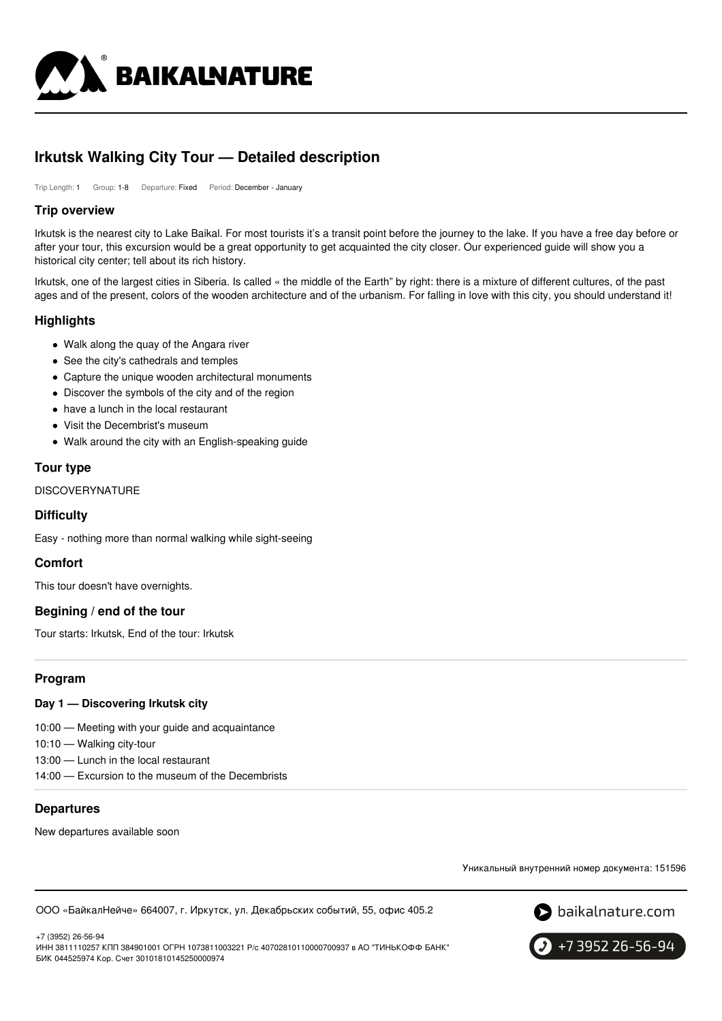

# **Irkutsk Walking City Tour — Detailed description**

Trip Length: 1 Group: 1-8 Departure: Fixed Period: December - January

#### **Trip overview**

Irkutsk is the nearest city to Lake Baikal. For most tourists it's a transit point before the journey to the lake. If you have a free day before or after your tour, this excursion would be a great opportunity to get acquainted the city closer. Our experienced guide will show you a historical city center; tell about its rich history.

Irkutsk, one of the largest cities in Siberia. Is called « the middle of the Earth" by right: there is a mixture of different cultures, of the past ages and of the present, colors of the wooden architecture and of the urbanism. For falling in love with this city, you should understand it!

## **Highlights**

- Walk along the quay of the Angara river
- See the city's cathedrals and temples
- Capture the unique wooden architectural monuments
- Discover the symbols of the city and of the region
- have a lunch in the local restaurant
- Visit the Decembrist's museum
- Walk around the city with an English-speaking guide

#### **Tour type**

DISCOVERYNATURE

#### **Difficulty**

Easy - nothing more than normal walking while sight-seeing

#### **Comfort**

This tour doesn't have overnights.

#### **Begining / end of the tour**

Tour starts: Irkutsk, End of the tour: Irkutsk

#### **Program**

#### **Day 1 — Discovering Irkutsk city**

10:00 — Meeting with your guide and acquaintance

10:10 — Walking city-tour

- 13:00 Lunch in the local restaurant
- 14:00 Excursion to the museum of the Decembrists

#### **Departures**

New departures available soon

Уникальный внутренний номер документа: 151596

ООО «БайкалНейче» 664007, г. Иркутск, ул. Декабрьских событий, 55, офис 405.2



+7 3952 26-56-94

+7 (3952) 26-56-94 ИНН 3811110257 КПП 384901001 ОГРН 1073811003221 Р/с 40702810110000700937 в АО "ТИНЬКОФФ БАНК" БИК 044525974 Кор. Счет 30101810145250000974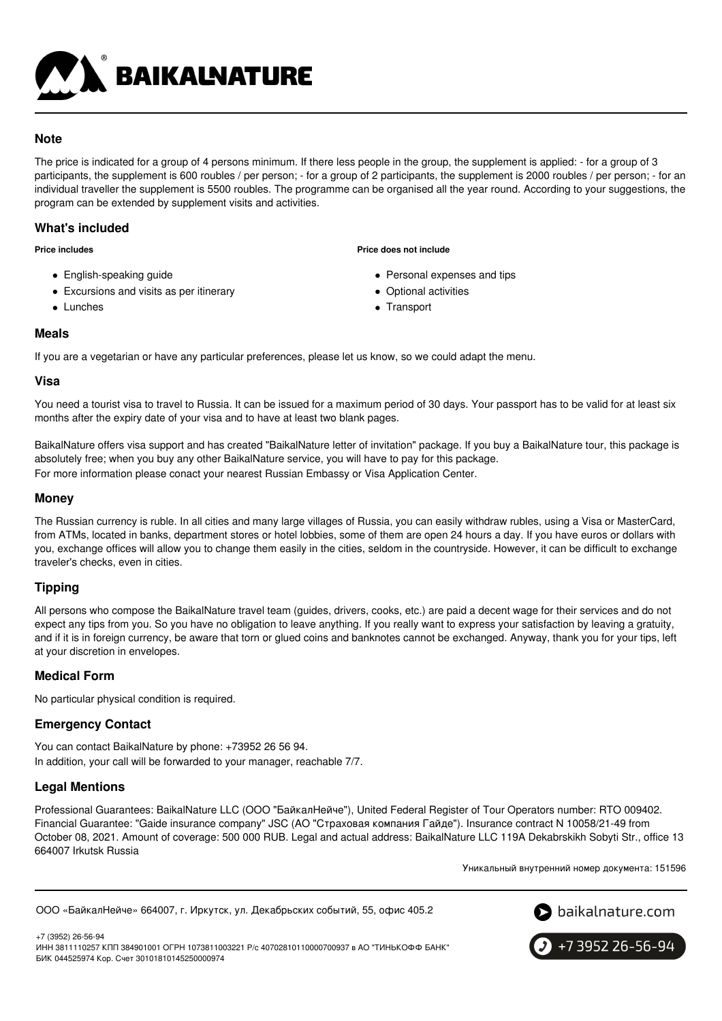

## **Note**

The price is indicated for a group of 4 persons minimum. If there less people in the group, the supplement is applied: - for a group of 3 participants, the supplement is 600 roubles / per person; - for a group of 2 participants, the supplement is 2000 roubles / per person; - for an individual traveller the supplement is 5500 roubles. The programme can be organised all the year round. According to your suggestions, the program can be extended by supplement visits and activities.

## **What's included**

**Price includes**

- English-speaking guide
- Excursions and visits as per itinerary
- Lunches

**Price does not include**

- Personal expenses and tips
- Optional activities
- Transport

## **Meals**

If you are a vegetarian or have any particular preferences, please let us know, so we could adapt the menu.

#### **Visa**

You need a tourist visa to travel to Russia. It can be issued for a maximum period of 30 days. Your passport has to be valid for at least six months after the expiry date of your visa and to have at least two blank pages.

BaikalNature offers visa support and has created "BaikalNature letter of invitation" package. If you buy a BaikalNature tour, this package is absolutely free; when you buy any other BaikalNature service, you will have to pay for this package. For more information please conact your nearest Russian Embassy or Visa Application Center.

## **Money**

The Russian currency is ruble. In all cities and many large villages of Russia, you can easily withdraw rubles, using a Visa or MasterCard, from ATMs, located in banks, department stores or hotel lobbies, some of them are open 24 hours a day. If you have euros or dollars with you, exchange offices will allow you to change them easily in the cities, seldom in the countryside. However, it can be difficult to exchange traveler's checks, even in cities.

## **Tipping**

All persons who compose the BaikalNature travel team (guides, drivers, cooks, etc.) are paid a decent wage for their services and do not expect any tips from you. So you have no obligation to leave anything. If you really want to express your satisfaction by leaving a gratuity, and if it is in foreign currency, be aware that torn or glued coins and banknotes cannot be exchanged. Anyway, thank you for your tips, left at your discretion in envelopes.

## **Medical Form**

No particular physical condition is required.

## **Emergency Contact**

You can contact BaikalNature by phone: +73952 26 56 94. In addition, your call will be forwarded to your manager, reachable 7/7.

## **Legal Mentions**

Professional Guarantees: BaikalNature LLC (ООО "БайкалНейче"), United Federal Register of Tour Operators number: RTO 009402. Financial Guarantee: "Gaide insurance company" JSC (АО "Страховая компания Гайде"). Insurance contract N 10058/21-49 from October 08, 2021. Amount of coverage: 500 000 RUB. Legal and actual address: BaikalNature LLC 119А Dekabrskikh Sobyti Str., office 13 664007 Irkutsk Russia

Уникальный внутренний номер документа: 151596

ООО «БайкалНейче» 664007, г. Иркутск, ул. Декабрьских событий, 55, офис 405.2



+7 (3952) 26-56-94 ИНН 3811110257 КПП 384901001 ОГРН 1073811003221 Р/с 40702810110000700937 в АО "ТИНЬКОФФ БАНК" БИК 044525974 Кор. Счет 30101810145250000974